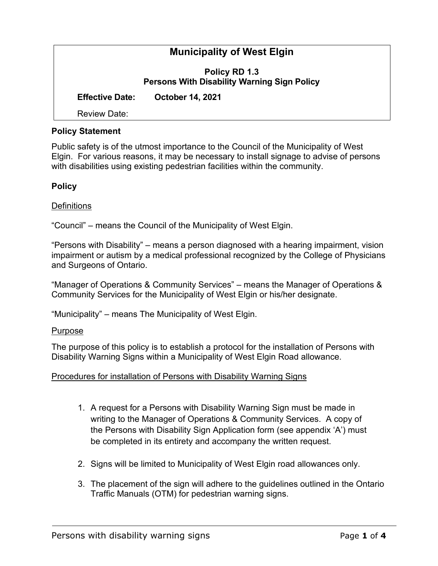# **Municipality of West Elgin Policy RD 1.3 Persons With Disability Warning Sign Policy Effective Date: October 14, 2021** Review Date:

### **Policy Statement**

Public safety is of the utmost importance to the Council of the Municipality of West Elgin. For various reasons, it may be necessary to install signage to advise of persons with disabilities using existing pedestrian facilities within the community.

#### **Policy**

## **Definitions**

"Council" – means the Council of the Municipality of West Elgin.

"Persons with Disability" – means a person diagnosed with a hearing impairment, vision impairment or autism by a medical professional recognized by the College of Physicians and Surgeons of Ontario.

"Manager of Operations & Community Services" – means the Manager of Operations & Community Services for the Municipality of West Elgin or his/her designate.

"Municipality" – means The Municipality of West Elgin.

#### Purpose

The purpose of this policy is to establish a protocol for the installation of Persons with Disability Warning Signs within a Municipality of West Elgin Road allowance.

#### Procedures for installation of Persons with Disability Warning Signs

- 1. A request for a Persons with Disability Warning Sign must be made in writing to the Manager of Operations & Community Services. A copy of the Persons with Disability Sign Application form (see appendix 'A') must be completed in its entirety and accompany the written request.
- 2. Signs will be limited to Municipality of West Elgin road allowances only.
- 3. The placement of the sign will adhere to the guidelines outlined in the Ontario Traffic Manuals (OTM) for pedestrian warning signs.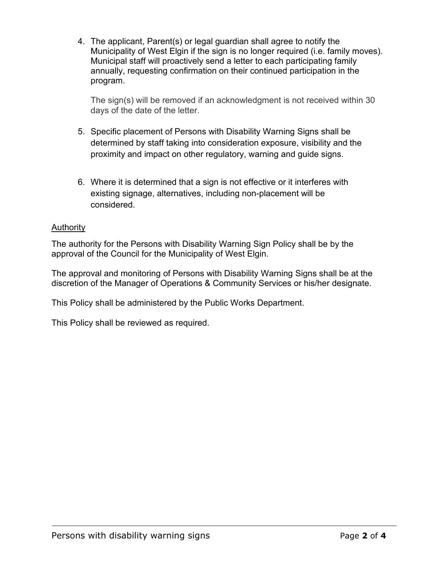4. The applicant, Parent(s) or legal guardian shall agree to notify the Municipality of West Elgin if the sign is no longer required (i.e. family moves). Municipal staff will proactively send a letter to each participating family annually, requesting confirmation on their continued participation in the program.

The sign(s) will be removed if an acknowledgment is not received within 30 days of the date of the letter.

- 5. Specific placement of Persons with Disability Warning Signs shall be determined by staff taking into consideration exposure, visibility and the proximity and impact on other regulatory, warning and guide signs.
- 6. Where it is determined that a sign is not effective or it interferes with existing signage, alternatives, including non-placement will be considered.

## **Authority**

The authority for the Persons with Disability Warning Sign Policy shall be by the approval of the Council for the Municipality of West Elgin.

The approval and monitoring of Persons with Disability Warning Signs shall be at the discretion of the Manager of Operations & Community Services or his/her designate.

This Policy shall be administered by the Public Works Department.

This Policy shall be reviewed as required.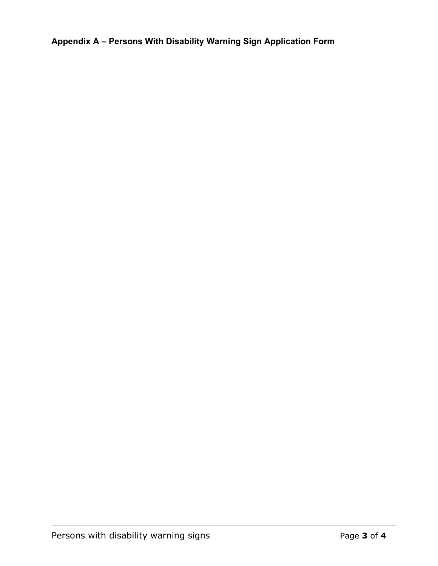**Appendix A – Persons With Disability Warning Sign Application Form**